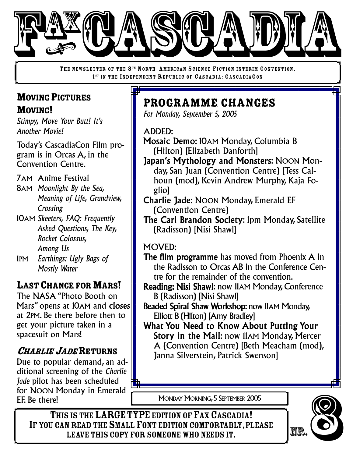

THE NEWSLETTER OF THE 8<sup>TH</sup> NORTH AMERICAN SCIENCE FICTION INTERIM CONVENTION, 1<sup>ST</sup> IN THE INDEPENDENT REPUBLIC OF CASCADIA: CASCADIACON

### **MOVING PICTURES** MOVING!

*Stimpy, Move Your Butt! It's Another Movie!*

Today's CascadiaCon Film program is in Orcas A, in the Convention Centre.

- 7AM Anime Festival
- 8AM *Moonlight By the Sea, Meaning of Life, Grandview, Crossing*
- 10AM *Skeeters, FAQ: Frequently Asked Questions, The Key, Rocket Colossus, Among Us*
- 1PM *Earthings: Ugly Bags of Mostly Water*

### **LAST CHANCE FOR MARS!**

The NASA "Photo Booth on Mars" opens at 10AM and closes at 2PM. Be there before then to get your picture taken in a spacesuit on Mars!

### CHARLIE JADE RETURNS

Due to popular demand, an additional screening of the *Charlie Jade* pilot has been scheduled for NOON Monday in Emerald EF. Be there!

# Programme Changes

*For Monday, September 5, 2005*

ADDED:

- Mosaic Demo: 10AM Monday, Columbia B (Hilton) [Elizabeth Danforth]
- Japan's Mythology and Monsters: NOON Monday, San Juan (Convention Centre) [Tess Calhoun (mod), Kevin Andrew Murphy, Kaja Foglio]
- Charlie Jade: NOON Monday, Emerald EF (Convention Centre)
- The Carl Brandon Society: 1pm Monday, Satellite (Radisson) [Nisi Shawl]

#### MOVED:

- The film programme has moved from Phoenix A in the Radisson to Orcas AB in the Conference Centre for the remainder of the convention.
- Reading: Nisi Shawl: now 11AM Monday, Conference B (Radisson) [Nisi Shawl]
- Beaded Spiral Shaw Workshop: now IIAM Monday, Elliott B (Hilton) [Amy Bradley]
- What You Need to Know About Putting Your Story in the Mail: now 11AM Monday, Mercer A (Convention Centre) [Beth Meacham (mod), Janna Silverstein, Patrick Swenson]

MONDAY MORNING, 5 SEPTEMBER 2005

THIS IS THE LARGE TYPE EDITION OF FAX CASCADIA! IF YOU CAN READ THE SMALL FONT EDITION COMFORTABLY, PLEASE MONDAY MORNING, 5 SEPTEMBER 2005<br>
SIS THE LARGE TYPE EDITION OF FAX CASCADIA!<br>
NREAD THE SMALL FONT EDITION COMFORTABLY, PLEASE<br>
LEAVE THIS COPY FOR SOMEONE WHO NEEDS IT.

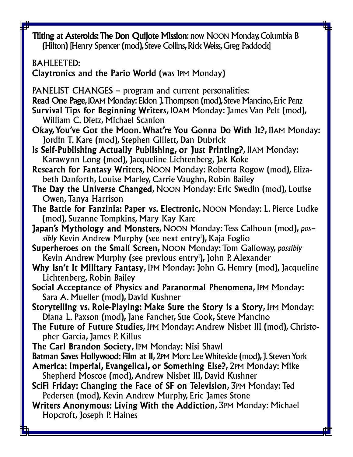Tilting at Asteroids:The Don Quijote Mission: now NOON Monday,Columbia B (Hilton) [Henry Spencer (mod), Steve Collins, Rick Weiss, Greg Paddock]

BAHLEETED:

Claytronics and the Pario World (was 1PM Monday)

PANELIST CHANGES – program and current personalities:

Read One Page, 10AM Monday: Eldon J. Thompson (mod), Steve Mancino, Eric Penz

- Survival Tips for Beginning Writers, 10AM Monday: James Van Pelt (mod), William C. Dietz, Michael Scanlon
- Okay,You've Got the Moon. What're You Gonna Do With It?, 11AM Monday: Jordin T. Kare (mod), Stephen Gillett, Dan Dubrick
- Is Self-Publishing Actually Publishing, or Just Printing?, 11AM Monday: Karawynn Long (mod), Jacqueline Lichtenberg, Jak Koke
- Research for Fantasy Writers, NOON Monday: Roberta Rogow (mod), Elizabeth Danforth, Louise Marley, Carrie Vaughn, Robin Bailey
- The Day the Universe Changed, NOON Monday: Eric Swedin (mod), Louise Owen,Tanya Harrison
- The Battle for Fanzinia: Paper vs. Electronic, NOON Monday: L. Pierce Ludke (mod), Suzanne Tompkins, Mary Kay Kare
- Japan's Mythology and Monsters, NOON Monday: Tess Calhoun (mod), *possibly* Kevin Andrew Murphy (see next entry 1 ), Kaja Foglio
- Superheroes on the Small Screen, NOON Monday: Tom Galloway, *possibly* Kevin Andrew Murphy (see previous entry 1 ), John P.Alexander
- Why Isn't It Military Fantasy, 1PM Monday: John G. Hemry (mod), Jacqueline Lichtenberg, Robin Bailey
- Social Acceptance of Physics and Paranormal Phenomena, 1PM Monday: Sara A. Mueller (mod), David Kushner
- Storytelling vs. Role-Playing: Make Sure the Story is a Story, 1PM Monday: Diana L. Paxson (mod), Jane Fancher, Sue Cook, Steve Mancino
- The Future of Future Studies, 1PM Monday: Andrew Nisbet III (mod), Christopher Garcia, James P. Killus
- The Carl Brandon Society, 1PM Monday: Nisi Shawl
- Batman Saves Hollywood: Film at 11, 2PM Mon: Lee Whiteside (mod), J. Steven York
- America: Imperial, Evangelical, or Something Else?, 2PM Monday: Mike Shepherd Moscoe (mod), Andrew Nisbet III, David Kushner
- SciFi Friday: Changing the Face of SF on Television, 3PM Monday: Ted Pedersen (mod), Kevin Andrew Murphy, Eric James Stone
- Writers Anonymous: Living With the Addiction, 3PM Monday: Michael Hopcroft, Joseph P. Haines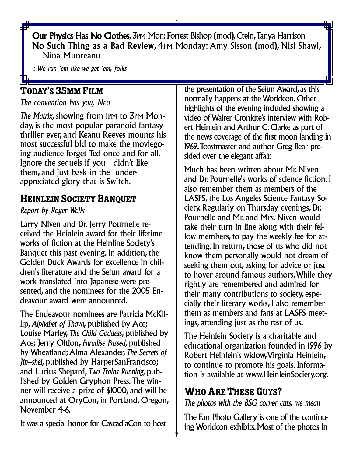Our Physics Has No Clothes, 3PM Mon: Forrest Bishop (mod), Ctein, Tanya Harrison No Such Thing as a Bad Review, 4PM Monday: Amy Sisson (mod), Nisi Shawl, Nina Munteanu

*1 : We run 'em like we get 'em, folks*

#### TODAY'S 35MM FILM

*The convention has you, Neo*

*The Matrix*, showing from 1PM to 3PM Monday, is the most popular paranoid fantasy thriller ever, and Keanu Reeves mounts his most successful bid to make the moviegoing audience forget Ted once and for all. Ignore the sequels if you didn't like them, and just bask in the underappreciated glory that is Switch.

#### HEINLEIN SOCIETY BANQUET

*Report by Roger Wells*

Larry Niven and Dr. Jerry Pournelle received the Heinlein award for their lifetime works of fiction at the Heinline Society's Banquet this past evening. In addition, the Golden Duck Awards for excellence in children's literature and the Seiun award for a work translated into Japanese were presented, and the nominees for the 2005 Endeavour award were announced.

The Endeavour nominees are Patricia McKillip, *Alphabet of Thova*, published by Ace; Louise Marley, *The Child Goddess*, published by Ace; Jerry Oltion, *Paradise Passed*, published by Wheatland;Alma Alexander, *The Secrets of Jin-shei*, published by HarperSanFrancisco; and Lucius Shepard, *Two Trains Running*, published by Golden Gryphon Press.The winner will receive a prize of \$1000, and will be announced at OryCon, in Portland, Oregon, November 4-6.

It was a special honor for CascadiaCon to host

the presentation of the SeiunAward, as this normally happens at theWorldcon.Other highlights of the evening included showing a video ofWalter Cronkite's interview with Robert Heinlein and Arthur C. Clarke as part of the news coverage of the first moon landing in 1969.Toastmaster and author Greg Bear presided over the elegant affair.

Much has been written about Mr. Niven and Dr. Pournelle's works of science fiction. I also remember them as members of the LASFS, the Los Angeles Science Fantasy Society. Regularly on Thursday evenings, Dr. Pournelle and Mr. and Mrs. Niven would take their turn in line along with their fellow members, to pay the weekly fee for attending. In return, those of us who did not know them personally would not dream of seeking them out, asking for advice or just to hover around famous authors.While they rightly are remembered and admired for their many contributions to society, especially their literary works, I also remember them as members and fans at LASFS meetings, attending just as the rest of us.

The Heinlein Society is a charitable and educational organization founded in 1996 by Robert Heinlein's widow,Virginia Heinlein, to continue to promote his goals. Information is available at www.HeinleinSociety.org.

### WHO ARE THESE GUYS?

*The photos with the BSG corner cuts, we mean*

The Fan Photo Gallery is one of the continuingWorldcon exhibits.Most of the photos in